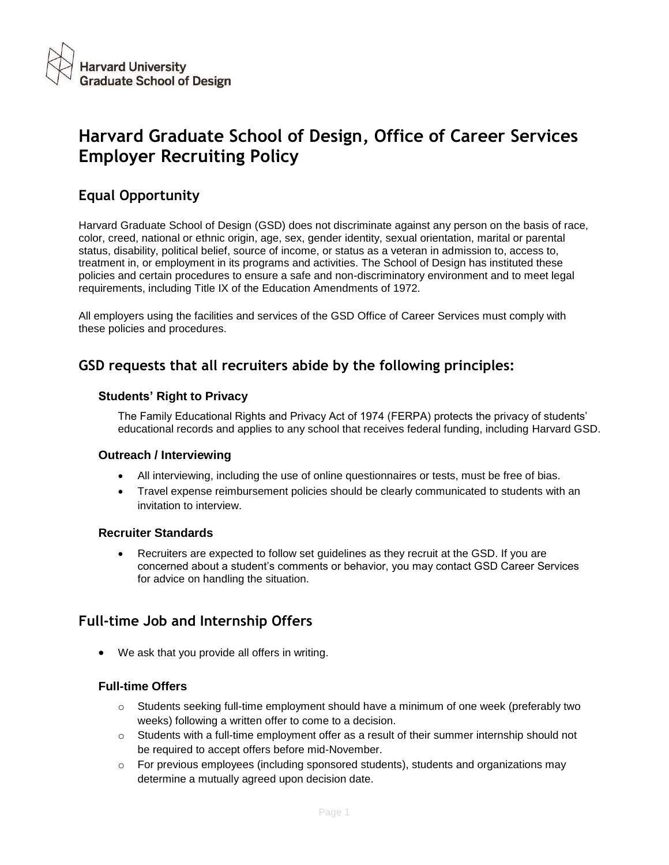# **Harvard Graduate School of Design, Office of Career Services Employer Recruiting Policy**

## **Equal Opportunity**

Harvard Graduate School of Design (GSD) does not discriminate against any person on the basis of race, color, creed, national or ethnic origin, age, sex, gender identity, sexual orientation, marital or parental status, disability, political belief, source of income, or status as a veteran in admission to, access to, treatment in, or employment in its programs and activities. The School of Design has instituted these policies and certain procedures to ensure a safe and non-discriminatory environment and to meet legal requirements, including Title IX of the Education Amendments of 1972.

All employers using the facilities and services of the GSD Office of Career Services must comply with these policies and procedures.

### **GSD requests that all recruiters abide by the following principles:**

### **Students' Right to Privacy**

The Family Educational Rights and Privacy Act of 1974 (FERPA) protects the privacy of students' educational records and applies to any school that receives federal funding, including Harvard GSD.

### **Outreach / Interviewing**

- All interviewing, including the use of online questionnaires or tests, must be free of bias.
- Travel expense reimbursement policies should be clearly communicated to students with an invitation to interview.

### **Recruiter Standards**

 Recruiters are expected to follow set guidelines as they recruit at the GSD. If you are concerned about a student's comments or behavior, you may contact GSD Career Services for advice on handling the situation.

### **Full-time Job and Internship Offers**

We ask that you provide all offers in writing.

### **Full-time Offers**

- $\circ$  Students seeking full-time employment should have a minimum of one week (preferably two weeks) following a written offer to come to a decision.
- $\circ$  Students with a full-time employment offer as a result of their summer internship should not be required to accept offers before mid-November.
- $\circ$  For previous employees (including sponsored students), students and organizations may determine a mutually agreed upon decision date.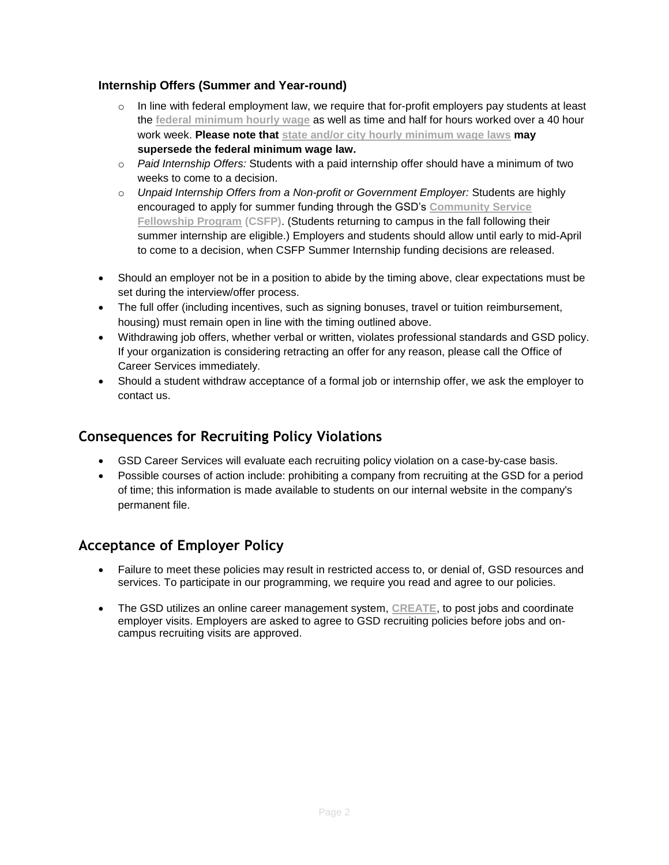### **Internship Offers (Summer and Year-round)**

- $\circ$  In line with federal employment law, we require that for-profit employers pay students at least the **[federal minimum hourly wage](https://webapps.dol.gov/elaws/elg/minwage.htm)** as well as time and half for hours worked over a 40 hour work week. **Please note that [state and/or city hourly minimum wage laws](https://www.dol.gov/whd/minwage/america.htm) may supersede the federal minimum wage law.**
- o *Paid Internship Offers:* Students with a paid internship offer should have a minimum of two weeks to come to a decision.
- o *Unpaid Internship Offers from a Non-profit or Government Employer:* Students are highly encouraged to apply for summer funding through the GSD's **[Community Service](https://communityservicefellowships.gsd.harvard.edu/about/)  [Fellowship Program](https://communityservicefellowships.gsd.harvard.edu/about/) (CSFP)**. (Students returning to campus in the fall following their summer internship are eligible.) Employers and students should allow until early to mid-April to come to a decision, when CSFP Summer Internship funding decisions are released.
- Should an employer not be in a position to abide by the timing above, clear expectations must be set during the interview/offer process.
- The full offer (including incentives, such as signing bonuses, travel or tuition reimbursement, housing) must remain open in line with the timing outlined above.
- Withdrawing job offers, whether verbal or written, violates professional standards and GSD policy. If your organization is considering retracting an offer for any reason, please call the Office of Career Services immediately.
- Should a student withdraw acceptance of a formal job or internship offer, we ask the employer to contact us.

### **Consequences for Recruiting Policy Violations**

- GSD Career Services will evaluate each recruiting policy violation on a case-by-case basis.
- Possible courses of action include: prohibiting a company from recruiting at the GSD for a period of time; this information is made available to students on our internal website in the company's permanent file.

### **Acceptance of Employer Policy**

- Failure to meet these policies may result in restricted access to, or denial of, GSD resources and services. To participate in our programming, we require you read and agree to our policies.
- The GSD utilizes an online career management system, **[CREATE](https://gsd-harvard-csm.symplicity.com/employers/)**, to post jobs and coordinate employer visits. Employers are asked to agree to GSD recruiting policies before jobs and oncampus recruiting visits are approved.